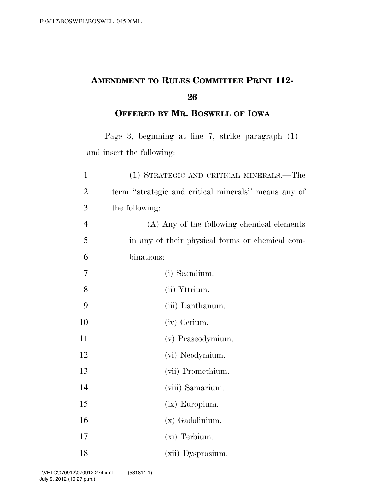## **AMENDMENT TO RULES COMMITTEE PRINT 112-**

**OFFERED BY MR. BOSWELL OF IOWA**

Page 3, beginning at line 7, strike paragraph (1) and insert the following:

| $\mathbf{1}$   | (1) STRATEGIC AND CRITICAL MINERALS.—The            |
|----------------|-----------------------------------------------------|
| $\overline{2}$ | term "strategic and critical minerals" means any of |
| 3              | the following:                                      |
| $\overline{4}$ | (A) Any of the following chemical elements          |
| 5              | in any of their physical forms or chemical com-     |
| 6              | binations:                                          |
| 7              | (i) Scandium.                                       |
| 8              | (ii) Yttrium.                                       |
| 9              | (iii) Lanthanum.                                    |
| 10             | (iv) Cerium.                                        |
| 11             | (v) Praseodymium.                                   |
| 12             | (vi) Neodymium.                                     |
| 13             | (vii) Promethium.                                   |
| 14             | (viii) Samarium.                                    |
| 15             | (ix) Europium.                                      |
| 16             | (x) Gadolinium.                                     |
| 17             | (xi) Terbium.                                       |
| 18             | (xii) Dysprosium.                                   |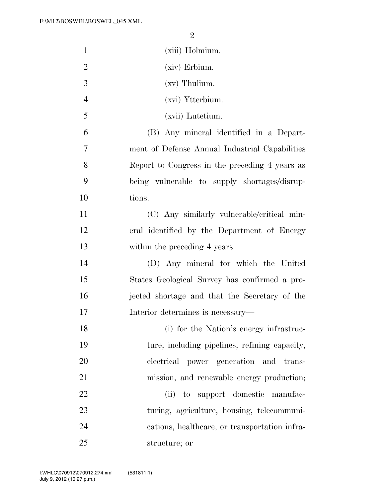| $\mathbf{1}$   | (xiii) Holmium.                                |
|----------------|------------------------------------------------|
| $\overline{2}$ | (xiv) Erbium.                                  |
| 3              | $(xv)$ Thulium.                                |
| $\overline{4}$ | (xvi) Ytterbium.                               |
| 5              | (xvii) Lutetium.                               |
| 6              | (B) Any mineral identified in a Depart-        |
| $\overline{7}$ | ment of Defense Annual Industrial Capabilities |
| 8              | Report to Congress in the preceding 4 years as |
| 9              | being vulnerable to supply shortages/disrup-   |
| 10             | tions.                                         |
| 11             | (C) Any similarly vulnerable/critical min-     |
| 12             | eral identified by the Department of Energy    |
| 13             | within the preceding 4 years.                  |
| 14             | (D) Any mineral for which the United           |
| 15             | States Geological Survey has confirmed a pro-  |
| 16             | jected shortage and that the Secretary of the  |
| 17             | Interior determines is necessary—              |
| 18             | (i) for the Nation's energy infrastruc-        |
| 19             | ture, including pipelines, refining capacity,  |
| 20             | power generation<br>electrical<br>and trans-   |
| 21             | mission, and renewable energy production;      |
| 22             | to support domestic manufac-<br>(ii)           |
| 23             | turing, agriculture, housing, telecommuni-     |
| 24             | cations, healthcare, or transportation infra-  |
| 25             | structure; or                                  |